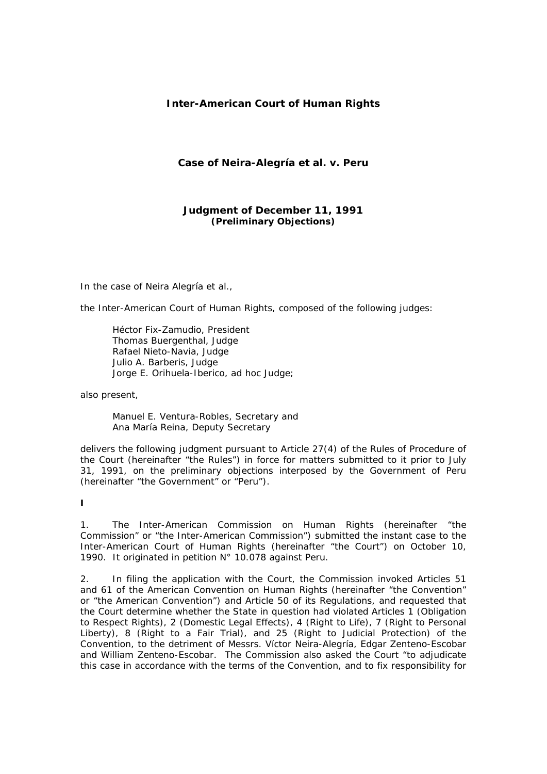# **Inter-American Court of Human Rights**

# **Case of Neira-Alegría** *et al. v.* **Peru**

**Judgment of December 11, 1991**  *(Preliminary Objections)* 

In the case of Neira Alegría *et al*.,

the Inter-American Court of Human Rights, composed of the following judges:

 Héctor Fix-Zamudio, President Thomas Buergenthal, Judge Rafael Nieto-Navia, Judge Julio A. Barberis, Judge Jorge E. Orihuela-Iberico, *ad hoc* Judge;

also present,

 Manuel E. Ventura-Robles, Secretary and Ana María Reina, Deputy Secretary

delivers the following judgment pursuant to Article 27(4) of the Rules of Procedure of the Court (hereinafter "the Rules") in force for matters submitted to it prior to July 31, 1991, on the preliminary objections interposed by the Government of Peru (hereinafter "the Government" or "Peru").

**I** 

1. The Inter-American Commission on Human Rights (hereinafter "the Commission" or "the Inter-American Commission") submitted the instant case to the Inter-American Court of Human Rights (hereinafter "the Court") on October 10, 1990. It originated in petition N° 10.078 against Peru.

2. In filing the application with the Court, the Commission invoked Articles 51 and 61 of the American Convention on Human Rights (hereinafter "the Convention" or "the American Convention") and Article 50 of its Regulations, and requested that the Court determine whether the State in question had violated Articles 1 (Obligation to Respect Rights), 2 (Domestic Legal Effects), 4 (Right to Life), 7 (Right to Personal Liberty), 8 (Right to a Fair Trial), and 25 (Right to Judicial Protection) of the Convention, to the detriment of Messrs. Víctor Neira-Alegría, Edgar Zenteno-Escobar and William Zenteno-Escobar. The Commission also asked the Court *"to adjudicate this case in accordance with the terms of the Convention, and to fix responsibility for*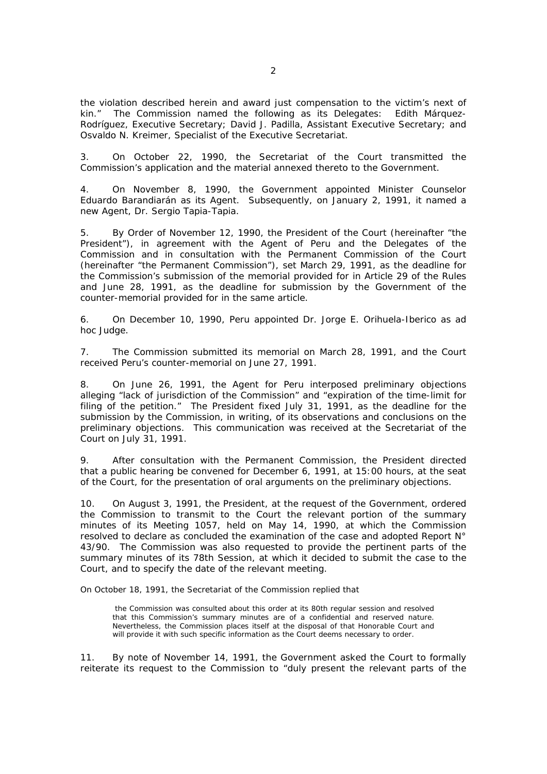*the violation described herein and award just compensation to the victim's next of kin."* The Commission named the following as its Delegates: Edith Márquez-Rodríguez, Executive Secretary; David J. Padilla, Assistant Executive Secretary; and Osvaldo N. Kreimer, Specialist of the Executive Secretariat.

3. On October 22, 1990, the Secretariat of the Court transmitted the Commission's application and the material annexed thereto to the Government.

4. On November 8, 1990, the Government appointed Minister Counselor Eduardo Barandiarán as its Agent. Subsequently, on January 2, 1991, it named a new Agent, Dr. Sergio Tapia-Tapia.

5. By Order of November 12, 1990, the President of the Court (hereinafter "the President"), in agreement with the Agent of Peru and the Delegates of the Commission and in consultation with the Permanent Commission of the Court (hereinafter "the Permanent Commission"), set March 29, 1991, as the deadline for the Commission's submission of the memorial provided for in Article 29 of the Rules and June 28, 1991, as the deadline for submission by the Government of the counter-memorial provided for in the same article.

6. On December 10, 1990, Peru appointed Dr. Jorge E. Orihuela-Iberico as *ad hoc* Judge.

7. The Commission submitted its memorial on March 28, 1991, and the Court received Peru's counter-memorial on June 27, 1991.

8. On June 26, 1991, the Agent for Peru interposed preliminary objections alleging *"lack of jurisdiction of the Commission"* and *"expiration of the time-limit for filing of the petition."* The President fixed July 31, 1991, as the deadline for the submission by the Commission, in writing, of its observations and conclusions on the preliminary objections. This communication was received at the Secretariat of the Court on July 31, 1991.

9. After consultation with the Permanent Commission, the President directed that a public hearing be convened for December 6, 1991, at 15:00 hours, at the seat of the Court, for the presentation of oral arguments on the preliminary objections.

10. On August 3, 1991, the President, at the request of the Government, ordered the Commission to transmit to the Court the relevant portion of the summary minutes of its Meeting 1057, held on May 14, 1990, at which the Commission resolved to declare as concluded the examination of the case and adopted Report N° 43/90. The Commission was also requested to provide the pertinent parts of the summary minutes of its 78th Session, at which it decided to submit the case to the Court, and to specify the date of the relevant meeting.

On October 18, 1991, the Secretariat of the Commission replied that

 the Commission was consulted about this order at its 80th regular session and resolved that this Commission's summary minutes are of a confidential and reserved nature. Nevertheless, the Commission places itself at the disposal of that Honorable Court and will provide it with such specific information as the Court deems necessary to order.

11. By note of November 14, 1991, the Government asked the Court to formally reiterate its request to the Commission to *"duly present the relevant parts of the*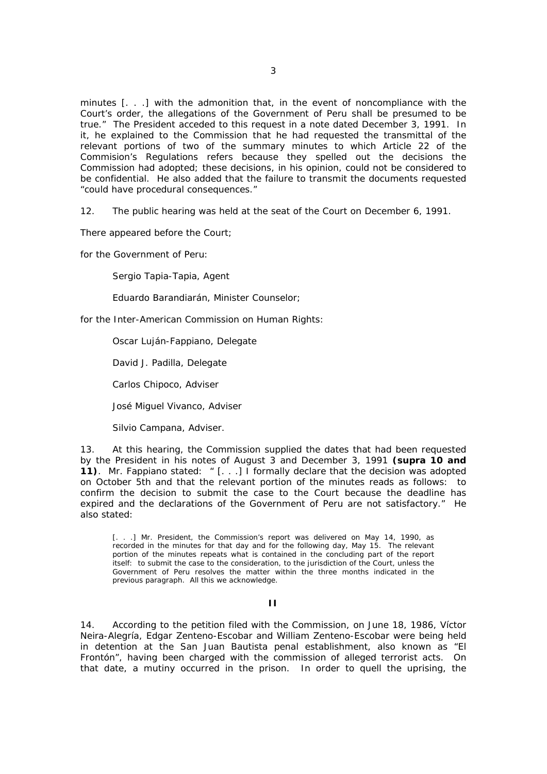*minutes [. . .] with the admonition that, in the event of noncompliance with the Court's order, the allegations of the Government of Peru shall be presumed to be true."* The President acceded to this request in a note dated December 3, 1991. In it, he explained to the Commission that he had requested the transmittal of the relevant portions of two of the summary minutes to which Article 22 of the Commision's Regulations refers because they spelled out the decisions the Commission had adopted; these decisions, in his opinion, could not be considered to be confidential. He also added that the failure to transmit the documents requested *"could have procedural consequences."*

12. The public hearing was held at the seat of the Court on December 6, 1991.

There appeared before the Court;

for the Government of Peru:

Sergio Tapia-Tapia, Agent

Eduardo Barandiarán, Minister Counselor;

for the Inter-American Commission on Human Rights:

Oscar Luján-Fappiano, Delegate

David J. Padilla, Delegate

Carlos Chipoco, Adviser

José Miguel Vivanco, Adviser

Silvio Campana, Adviser.

13. At this hearing, the Commission supplied the dates that had been requested by the President in his notes of August 3 and December 3, 1991 **(***supra* **10 and 11)**. Mr. Fappiano stated: " [. . .] *I formally declare that the decision was adopted on October 5th and that the relevant portion of the minutes reads as follows: to confirm the decision to submit the case to the Court because the deadline has expired and the declarations of the Government of Peru are not satisfactory."* He also stated:

[. . .] Mr. President, the Commission's report was delivered on May 14, 1990, as recorded in the minutes for that day and for the following day, May 15. The relevant portion of the minutes repeats what is contained in the concluding part of the report itself: to submit the case to the consideration, to the jurisdiction of the Court, unless the Government of Peru resolves the matter within the three months indicated in the previous paragraph. All this we acknowledge.

## **II**

14. According to the petition filed with the Commission, on June 18, 1986, Víctor Neira-Alegría, Edgar Zenteno-Escobar and William Zenteno-Escobar were being held in detention at the San Juan Bautista penal establishment, also known as "El Frontón", having been charged with the commission of alleged terrorist acts. On that date, a mutiny occurred in the prison. In order to quell the uprising, the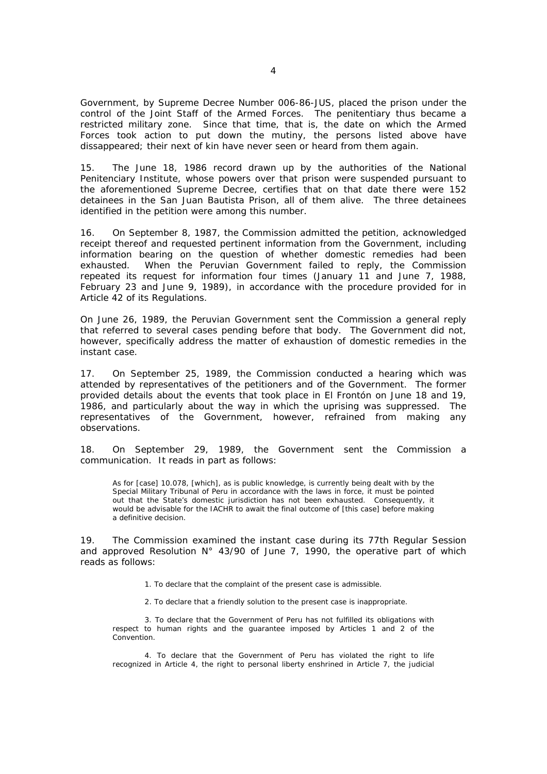Government, by Supreme Decree Number 006-86-JUS, placed the prison under the control of the Joint Staff of the Armed Forces. The penitentiary thus became a restricted military zone. Since that time, that is, the date on which the Armed Forces took action to put down the mutiny, the persons listed above have dissappeared; their next of kin have never seen or heard from them again.

15. The June 18, 1986 record drawn up by the authorities of the National Penitenciary Institute, whose powers over that prison were suspended pursuant to the aforementioned Supreme Decree, certifies that on that date there were 152 detainees in the San Juan Bautista Prison, all of them alive. The three detainees identified in the petition were among this number.

16. On September 8, 1987, the Commission admitted the petition, acknowledged receipt thereof and requested pertinent information from the Government, including information bearing on the question of whether domestic remedies had been exhausted. When the Peruvian Government failed to reply, the Commission repeated its request for information four times (January 11 and June 7, 1988, February 23 and June 9, 1989), in accordance with the procedure provided for in Article 42 of its Regulations.

On June 26, 1989, the Peruvian Government sent the Commission a general reply that referred to several cases pending before that body. The Government did not, however, specifically address the matter of exhaustion of domestic remedies in the instant case.

17. On September 25, 1989, the Commission conducted a hearing which was attended by representatives of the petitioners and of the Government. The former provided details about the events that took place in El Frontón on June 18 and 19, 1986, and particularly about the way in which the uprising was suppressed. The representatives of the Government, however, refrained from making any observations.

18. On September 29, 1989, the Government sent the Commission a communication. It reads in part as follows:

As for [case] 10.078, [which], as is public knowledge, is currently being dealt with by the Special Military Tribunal of Peru in accordance with the laws in force, it must be pointed out that the State's domestic jurisdiction has not been exhausted. Consequently, it would be advisable for the IACHR to await the final outcome of [this case] before making a definitive decision.

19. The Commission examined the instant case during its 77th Regular Session and approved Resolution N° 43/90 of June 7, 1990, the operative part of which reads as follows:

- 1. To declare that the complaint of the present case is admissible.
- 2. To declare that a friendly solution to the present case is inappropriate.

 3. To declare that the Government of Peru has not fulfilled its obligations with respect to human rights and the guarantee imposed by Articles 1 and 2 of the Convention.

 4. To declare that the Government of Peru has violated the right to life recognized in Article 4, the right to personal liberty enshrined in Article 7, the judicial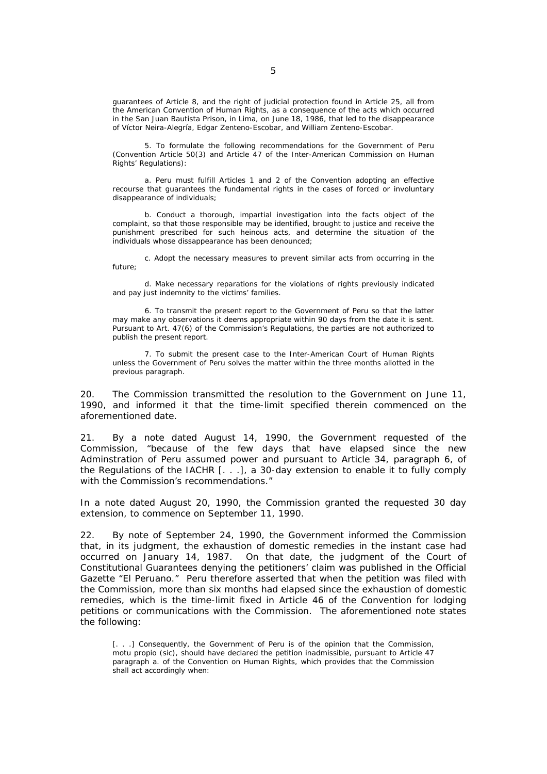guarantees of Article 8, and the right of judicial protection found in Article 25, all from the American Convention of Human Rights, as a consequence of the acts which occurred in the San Juan Bautista Prison, in Lima, on June 18, 1986, that led to the disappearance of Víctor Neira-Alegría, Edgar Zenteno-Escobar, and William Zenteno-Escobar.

 5. To formulate the following recommendations for the Government of Peru (Convention Article 50(3) and Article 47 of the Inter-American Commission on Human Rights' Regulations):

 a. Peru must fulfill Articles 1 and 2 of the Convention adopting an effective recourse that guarantees the fundamental rights in the cases of forced or involuntary disappearance of individuals;

 b. Conduct a thorough, impartial investigation into the facts object of the complaint, so that those responsible may be identified, brought to justice and receive the punishment prescribed for such heinous acts, and determine the situation of the individuals whose dissappearance has been denounced;

 c. Adopt the necessary measures to prevent similar acts from occurring in the future;

 d. Make necessary reparations for the violations of rights previously indicated and pay just indemnity to the victims' families.

 6. To transmit the present report to the Government of Peru so that the latter may make any observations it deems appropriate within 90 days from the date it is sent. Pursuant to Art. 47(6) of the Commission's Regulations, the parties are not authorized to publish the present report.

 7. To submit the present case to the Inter-American Court of Human Rights unless the Government of Peru solves the matter within the three months allotted in the previous paragraph.

20. The Commission transmitted the resolution to the Government on June 11, 1990, and informed it that the time-limit specified therein commenced on the aforementioned date.

21. By a note dated August 14, 1990, the Government requested of the Commission, *"because of the few days that have elapsed since the new Adminstration of Peru assumed power and pursuant to Article 34, paragraph 6, of the Regulations of the IACHR* [. . .], a 30-*day extension to enable it to fully comply with the Commission's recommendations."*

In a note dated August 20, 1990, the Commission granted the requested 30 day extension, to commence on September 11, 1990.

22. By note of September 24, 1990, the Government informed the Commission that, in its judgment, the exhaustion of domestic remedies in the instant case had occurred on January 14, 1987. On that date, the judgment of the Court of Constitutional Guarantees denying the petitioners' claim was published in the Official Gazette "El Peruano." Peru therefore asserted that when the petition was filed with the Commission, more than six months had elapsed since the exhaustion of domestic remedies, which is the time-limit fixed in Article 46 of the Convention for lodging petitions or communications with the Commission. The aforementioned note states the following:

[. . .] Consequently, the Government of Peru is of the opinion that the Commission, motu propio (*sic*), should have declared the petition inadmissible, pursuant to Article 47 paragraph a. of the Convention on Human Rights, which provides that the Commission shall act accordingly when: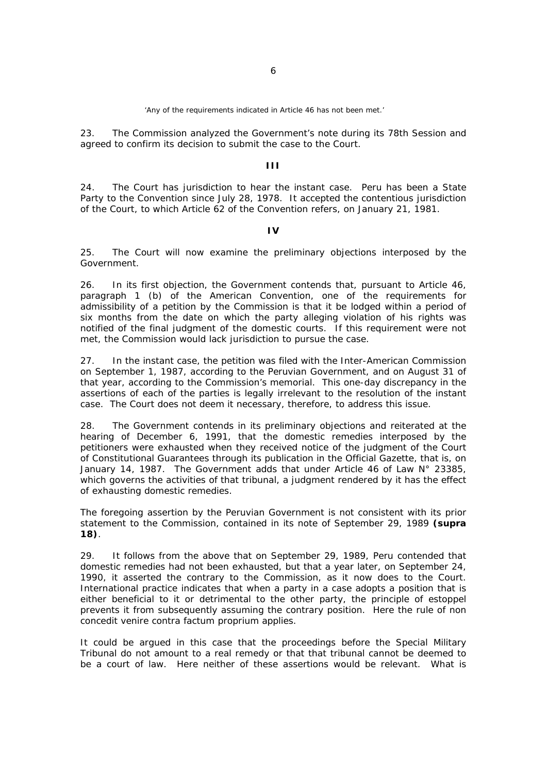'Any of the requirements indicated in Article 46 has not been met.'

23. The Commission analyzed the Government's note during its 78th Session and agreed to confirm its decision to submit the case to the Court.

## **III**

24. The Court has jurisdiction to hear the instant case. Peru has been a State Party to the Convention since July 28, 1978. It accepted the contentious jurisdiction of the Court, to which Article 62 of the Convention refers, on January 21, 1981.

## **IV**

25. The Court will now examine the preliminary objections interposed by the Government.

26. In its first objection, the Government contends that, pursuant to Article 46, paragraph 1 (b) of the American Convention, one of the requirements for admissibility of a petition by the Commission is that it be lodged within a period of six months from the date on which the party alleging violation of his rights was notified of the final judgment of the domestic courts. If this requirement were not met, the Commission would lack jurisdiction to pursue the case.

27. In the instant case, the petition was filed with the Inter-American Commission on September 1, 1987, according to the Peruvian Government, and on August 31 of that year, according to the Commission's memorial. This one-day discrepancy in the assertions of each of the parties is legally irrelevant to the resolution of the instant case. The Court does not deem it necessary, therefore, to address this issue.

28. The Government contends in its preliminary objections and reiterated at the hearing of December 6, 1991, that the domestic remedies interposed by the petitioners were exhausted when they received notice of the judgment of the Court of Constitutional Guarantees through its publication in the Official Gazette, that is, on January 14, 1987. The Government adds that under Article 46 of Law N° 23385, which governs the activities of that tribunal, a judgment rendered by it has the effect of exhausting domestic remedies.

The foregoing assertion by the Peruvian Government is not consistent with its prior statement to the Commission, contained in its note of September 29, 1989 **(***supra* **18)**.

29. It follows from the above that on September 29, 1989, Peru contended that domestic remedies had not been exhausted, but that a year later, on September 24, 1990, it asserted the contrary to the Commission, as it now does to the Court. International practice indicates that when a party in a case adopts a position that is either beneficial to it or detrimental to the other party, the principle of estoppel prevents it from subsequently assuming the contrary position. Here the rule of *non concedit venire contra factum proprium* applies.

It could be argued in this case that the proceedings before the Special Military Tribunal do not amount to a real remedy or that that tribunal cannot be deemed to be a court of law. Here neither of these assertions would be relevant. What is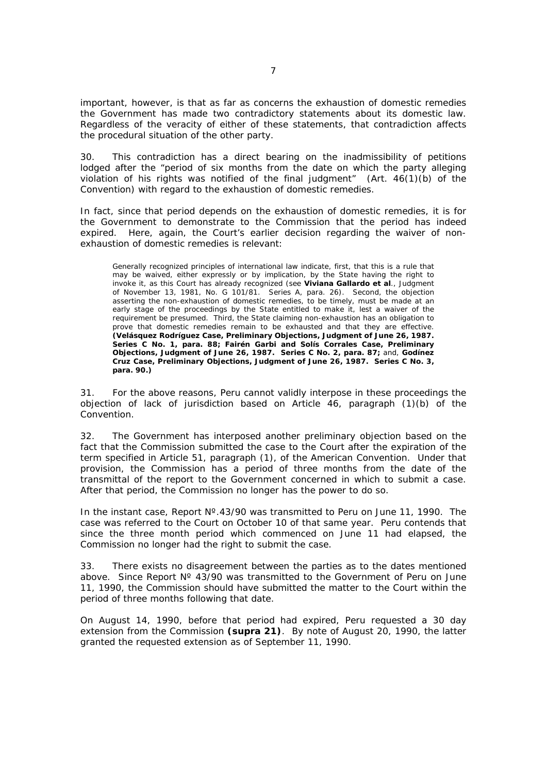important, however, is that as far as concerns the exhaustion of domestic remedies the Government has made two contradictory statements about its domestic law. Regardless of the veracity of either of these statements, that contradiction affects the procedural situation of the other party.

30. This contradiction has a direct bearing on the inadmissibility of petitions lodged after the *"period of six months from the date on which the party alleging violation of his rights was notified of the final judgment"* (Art. 46(1)(b) of the Convention) with regard to the exhaustion of domestic remedies.

In fact, since that period depends on the exhaustion of domestic remedies, it is for the Government to demonstrate to the Commission that the period has indeed expired. Here, again, the Court's earlier decision regarding the waiver of nonexhaustion of domestic remedies is relevant:

Generally recognized principles of international law indicate, first, that this is a rule that may be waived, either expressly or by implication, by the State having the right to invoke it, as this Court has already recognized (see **Viviana Gallardo et al**., Judgment of November 13, 1981, No. G 101/81. Series A, para. 26). Second, the objection asserting the non-exhaustion of domestic remedies, to be timely, must be made at an early stage of the proceedings by the State entitled to make it, lest a waiver of the requirement be presumed. Third, the State claiming non-exhaustion has an obligation to prove that domestic remedies remain to be exhausted and that they are effective. **(***Velásquez Rodríguez Case, Preliminary Objections***, Judgment of June 26, 1987. Series C No. 1, para. 88;** *Fairén Garbi and Solís Corrales Case, Preliminary Objections***, Judgment of June 26, 1987. Series C No. 2, para. 87;** and, *Godínez Cruz Case, Preliminary Objections***, Judgment of June 26, 1987. Series C No. 3, para. 90.)**

31. For the above reasons, Peru cannot validly interpose in these proceedings the objection of lack of jurisdiction based on Article 46, paragraph (1)(b) of the Convention.

32. The Government has interposed another preliminary objection based on the fact that the Commission submitted the case to the Court after the expiration of the term specified in Article 51, paragraph (1), of the American Convention. Under that provision, the Commission has a period of three months from the date of the transmittal of the report to the Government concerned in which to submit a case. After that period, the Commission no longer has the power to do so.

In the instant case, Report Nº.43/90 was transmitted to Peru on June 11, 1990. The case was referred to the Court on October 10 of that same year. Peru contends that since the three month period which commenced on June 11 had elapsed, the Commission no longer had the right to submit the case.

33. There exists no disagreement between the parties as to the dates mentioned above. Since Report N° 43/90 was transmitted to the Government of Peru on June 11, 1990, the Commission should have submitted the matter to the Court within the period of three months following that date.

On August 14, 1990, before that period had expired, Peru requested a 30 day extension from the Commission **(***supra* **21)**. By note of August 20, 1990, the latter granted the requested extension as of September 11, 1990.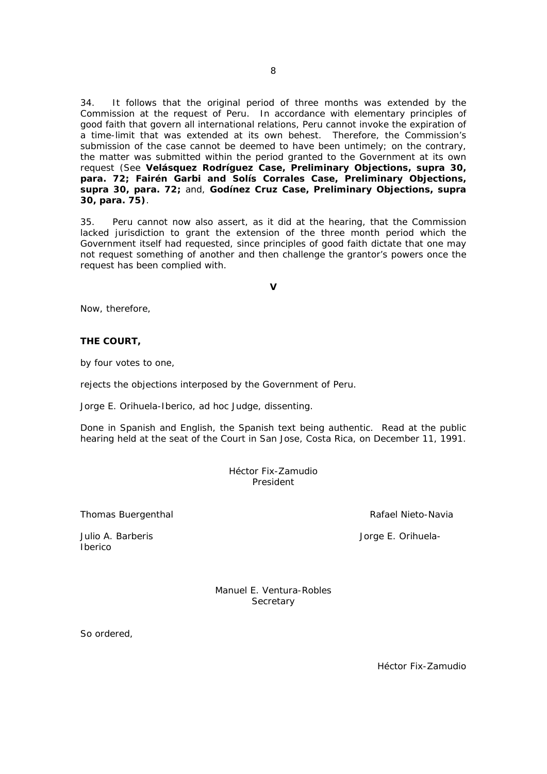34. It follows that the original period of three months was extended by the Commission at the request of Peru. In accordance with elementary principles of good faith that govern all international relations, Peru cannot invoke the expiration of a time-limit that was extended at its own behest. Therefore, the Commission's submission of the case cannot be deemed to have been untimely; on the contrary, the matter was submitted within the period granted to the Government at its own request (See *Velásquez Rodríguez Case, Preliminary Objections***, supra 30, para. 72;** *Fairén Garbi and Solís Corrales Case, Preliminary Objections***, supra 30, para. 72;** and, *Godínez Cruz Case, Preliminary Objections***, supra 30, para. 75)**.

35. Peru cannot now also assert, as it did at the hearing, that the Commission lacked jurisdiction to grant the extension of the three month period which the Government itself had requested, since principles of good faith dictate that one may not request something of another and then challenge the grantor's powers once the request has been complied with.

**V** 

Now, therefore,

# **THE COURT,**

by four votes to one,

rejects the objections interposed by the Government of Peru.

Jorge E. Orihuela-Iberico, *ad hoc* Judge, dissenting.

Done in Spanish and English, the Spanish text being authentic. Read at the public hearing held at the seat of the Court in San Jose, Costa Rica, on December 11, 1991.

> Héctor Fix-Zamudio President

Thomas Buergenthal **Rafael Nieto-Navia Rafael Nieto-Navia** 

Julio A. Barberis Jorge E. Orihuela-

Iberico

Manuel E. Ventura-Robles **Secretary** 

So ordered,

Héctor Fix-Zamudio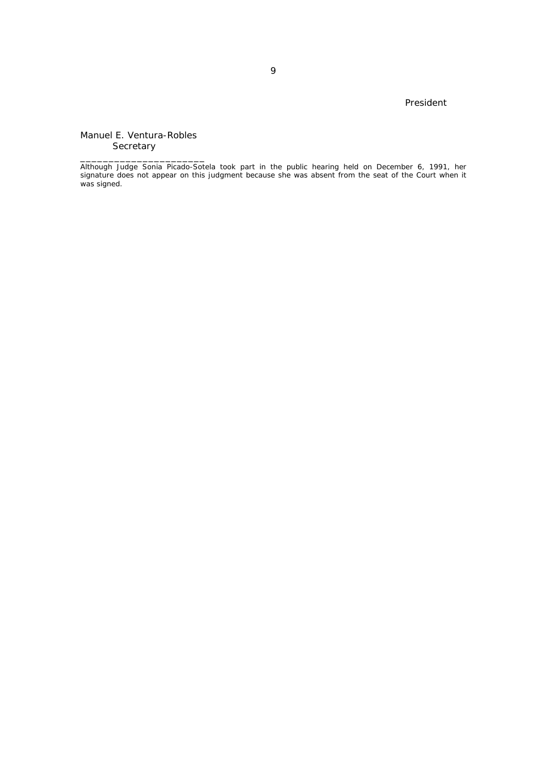## President

Manuel E. Ventura-Robles **Secretary** 

\_\_\_\_\_\_\_\_\_\_\_\_\_\_\_\_\_\_\_\_\_\_

Although Judge Sonia Picado-Sotela took part in the public hearing held on December 6, 1991, her signature does not appear on this judgment because she was absent from the seat of the Court when it was signed.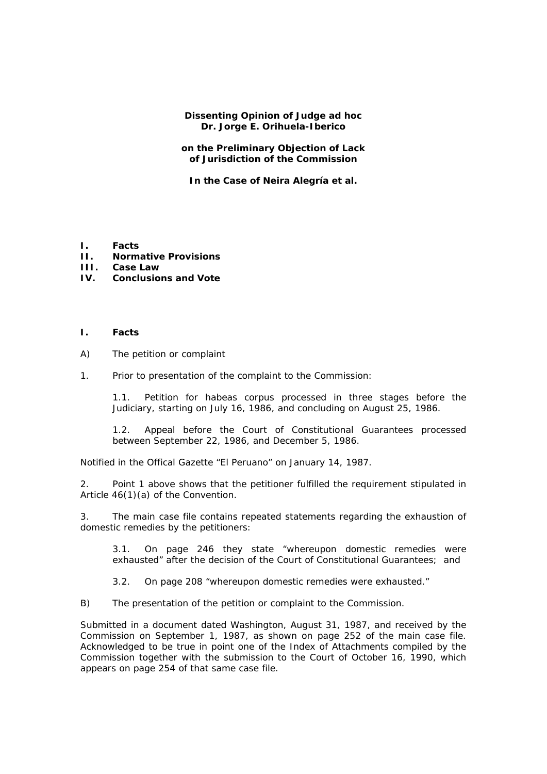**Dissenting Opinion of Judge** *ad hoc* **Dr. Jorge E. Orihuela-Iberico** 

**on the Preliminary Objection of Lack of Jurisdiction of the Commission** 

**In the Case of Neira Alegría** *et al.* 

- **I. Facts**
- **II. Normative Provisions**
- **III. Case Law**
- **IV. Conclusions and Vote**
- **I. Facts**
- A) The petition or complaint
- 1. Prior to presentation of the complaint to the Commission:

1.1. Petition for habeas corpus processed in three stages before the Judiciary, starting on July 16, 1986, and concluding on August 25, 1986.

1.2. Appeal before the Court of Constitutional Guarantees processed between September 22, 1986, and December 5, 1986.

Notified in the Offical Gazette "El Peruano" on January 14, 1987.

2. Point 1 above shows that the petitioner fulfilled the requirement stipulated in Article 46(1)(a) of the Convention.

3. The main case file contains repeated statements regarding the exhaustion of domestic remedies by the petitioners:

3.1. On page 246 they state *"whereupon domestic remedies were exhausted"* after the decision of the Court of Constitutional Guarantees; and

3.2. On page 208 *"whereupon domestic remedies were exhausted."*

B) The presentation of the petition or complaint to the Commission.

Submitted in a document dated Washington, August 31, 1987, and received by the Commission on September 1, 1987, as shown on page 252 of the main case file. Acknowledged to be true in point one of the Index of Attachments compiled by the Commission together with the submission to the Court of October 16, 1990, which appears on page 254 of that same case file.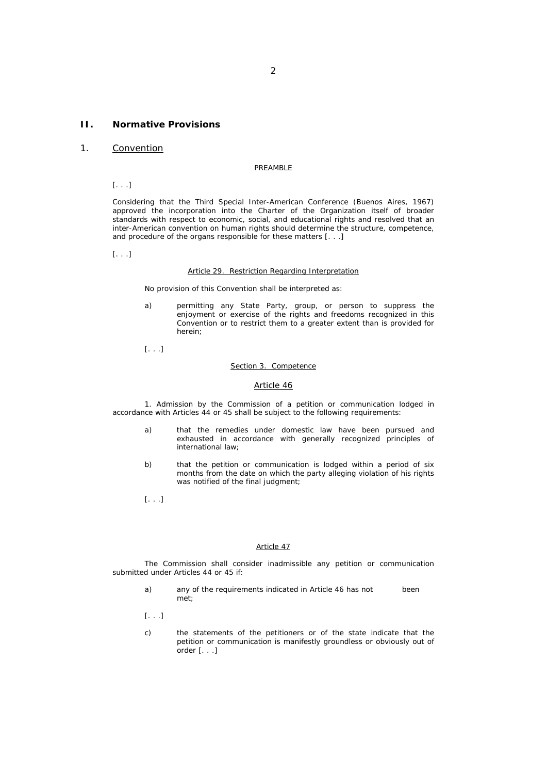## **II. Normative Provisions**

## 1. Convention

#### PREAMBLE

[. . .]

Considering that the Third Special Inter-American Conference (Buenos Aires, 1967) approved the incorporation into the Charter of the Organization itself of broader standards with respect to economic, social, and educational rights and resolved that an inter-American convention on human rights should determine the structure, competence, and procedure of the organs responsible for these matters [. . .]

[. . .]

#### Article 29. Restriction Regarding Interpretation

No provision of this Convention shall be interpreted as:

a) permitting any State Party, group, or person to suppress the enjoyment or exercise of the rights and freedoms recognized in this Convention or to restrict them to a greater extent than is provided for herein;

[. . .]

#### Section 3. Competence

#### Article 46

 1. Admission by the Commission of a petition or communication lodged in accordance with Articles 44 or 45 shall be subject to the following requirements:

- a) that the remedies under domestic law have been pursued and exhausted in accordance with generally recognized principles of international law;
- b) that the petition or communication is lodged within a period of six months from the date on which the party alleging violation of his rights was notified of the final judgment;
- [. . .]

#### Article 47

 The Commission shall consider inadmissible any petition or communication submitted under Articles 44 or 45 if:

- a) any of the requirements indicated in Article 46 has not been met;
- [. . .]
- c) the statements of the petitioners or of the state indicate that the petition or communication is manifestly groundless or obviously out of order [. . .]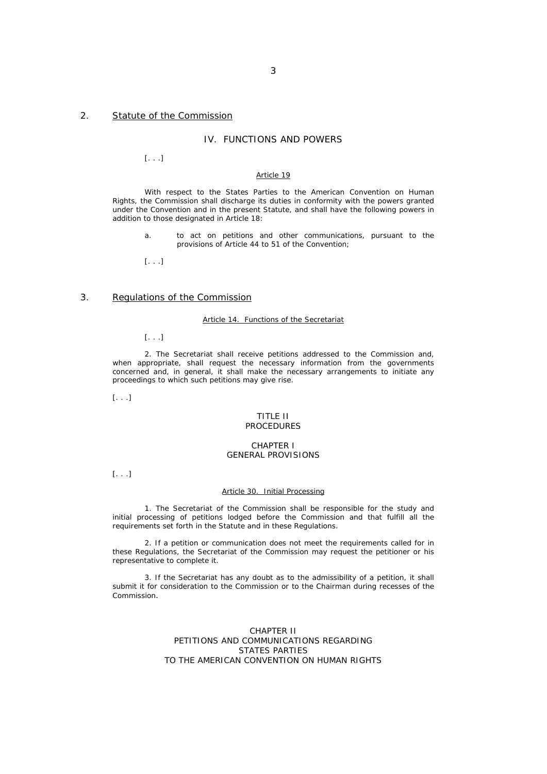## 2. Statute of the Commission

## IV. FUNCTIONS AND POWERS

[. . .]

#### Article 19

 With respect to the States Parties to the American Convention on Human Rights, the Commission shall discharge its duties in conformity with the powers granted under the Convention and in the present Statute, and shall have the following powers in addition to those designated in Article 18:

a. to act on petitions and other communications, pursuant to the provisions of Article 44 to 51 of the Convention;

[. . .]

## 3. Regulations of the Commission

#### Article 14. Functions of the Secretariat

[. . .]

 2. The Secretariat shall receive petitions addressed to the Commission and, when appropriate, shall request the necessary information from the governments concerned and, in general, it shall make the necessary arrangements to initiate any proceedings to which such petitions may give rise.

[. . .]

#### TITLE II PROCEDURES

### CHAPTER I GENERAL PROVISIONS

[. . .]

#### Article 30. Initial Processing

 1. The Secretariat of the Commission shall be responsible for the study and initial processing of petitions lodged before the Commission and that fulfill all the requirements set forth in the Statute and in these Regulations.

 2. If a petition or communication does not meet the requirements called for in these Regulations, the Secretariat of the Commission may request the petitioner or his representative to complete it.

 3. If the Secretariat has any doubt as to the admissibility of a petition, it shall submit it for consideration to the Commission or to the Chairman during recesses of the Commission.

#### CHAPTER II PETITIONS AND COMMUNICATIONS REGARDING STATES PARTIES TO THE AMERICAN CONVENTION ON HUMAN RIGHTS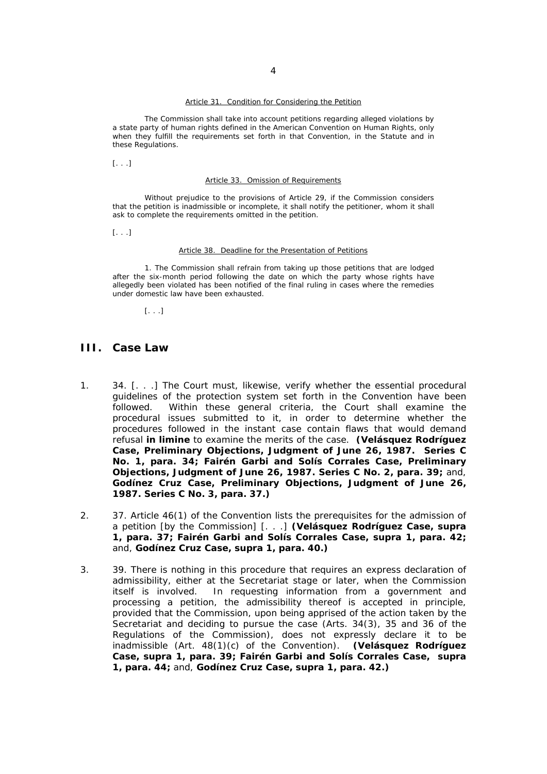#### Article 31. Condition for Considering the Petition

 The Commission shall take into account petitions regarding alleged violations by a state party of human rights defined in the American Convention on Human Rights, only when they fulfill the requirements set forth in that Convention, in the Statute and in these Regulations.

[. . .]

#### Article 33. Omission of Requirements

 Without prejudice to the provisions of Article 29, if the Commission considers that the petition is inadmissible or incomplete, it shall notify the petitioner, whom it shall ask to complete the requirements omitted in the petition.

[. . .]

#### Article 38. Deadline for the Presentation of Petitions

 1. The Commission shall refrain from taking up those petitions that are lodged after the six-month period following the date on which the party whose rights have allegedly been violated has been notified of the final ruling in cases where the remedies under domestic law have been exhausted.

[. . .]

## **III. Case Law**

- 1. 34. [. . .] The Court must, likewise, verify whether the essential procedural guidelines of the protection system set forth in the Convention have been followed. Within these general criteria, the Court shall examine the procedural issues submitted to it, in order to determine whether the procedures followed in the instant case contain flaws that would demand refusal **in limine** to examine the merits of the case. **(***Velásquez Rodríguez Case, Preliminary Objections***, Judgment of June 26, 1987. Series C No. 1, para. 34;** *Fairén Garbi and Solís Corrales Case, Preliminary Objections***, Judgment of June 26, 1987. Series C No. 2, para. 39;** and, *Godínez Cruz Case, Preliminary Objections***, Judgment of June 26, 1987. Series C No. 3, para. 37.)**
- 2. 37. Article 46(1) of the Convention lists the prerequisites for the admission of a petition [by the Commission] [. . .] **(***Velásquez Rodríguez Case, supra* **1, para. 37;** *Fairén Garbi and Solís Corrales Case, supra* **1, para. 42;**  and, *Godínez Cruz Case, supra* **1, para. 40.)**
- 3. 39. There is nothing in this procedure that requires an express declaration of admissibility, either at the Secretariat stage or later, when the Commission itself is involved. In requesting information from a government and processing a petition, the admissibility thereof is accepted in principle, provided that the Commission, upon being apprised of the action taken by the Secretariat and deciding to pursue the case (Arts. 34(3), 35 and 36 of the Regulations of the Commission), does not expressly declare it to be inadmissible (Art. 48(1)(c) of the Convention). **(***Velásquez Rodríguez Case, supra* **1, para. 39;** *Fairén Garbi and Solís Corrales Case, supra* **1, para. 44;** and, *Godínez Cruz Case, supra* **1, para. 42.)**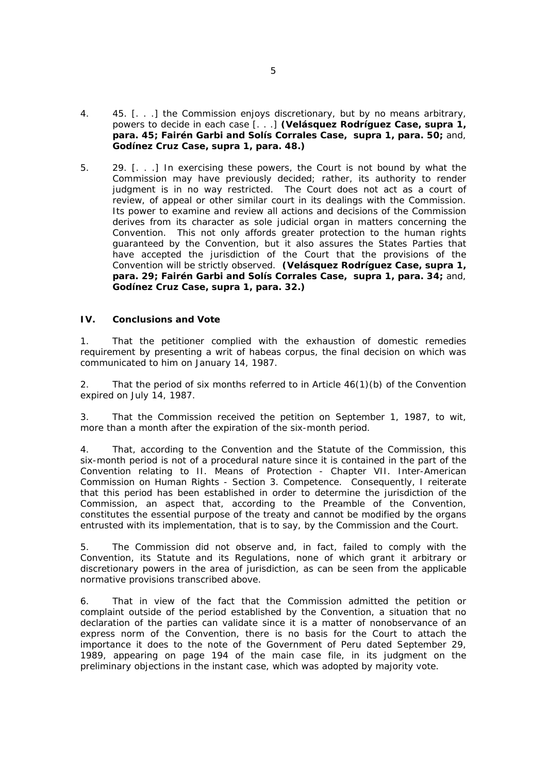- 4. 45. [. . .] the Commission enjoys discretionary, but by no means arbitrary, powers to decide in each case [. . .] **(***Velásquez Rodríguez Case, supra* **1, para. 45;** *Fairén Garbi and Solís Corrales Case, supra* **1, para. 50;** and, *Godínez Cruz Case, supra* **1, para. 48.)**
- 5. 29. [. . .] In exercising these powers, the Court is not bound by what the Commission may have previously decided; rather, its authority to render judgment is in no way restricted. The Court does not act as a court of review, of appeal or other similar court in its dealings with the Commission. Its power to examine and review all actions and decisions of the Commission derives from its character as sole judicial organ in matters concerning the Convention. This not only affords greater protection to the human rights guaranteed by the Convention, but it also assures the States Parties that have accepted the jurisdiction of the Court that the provisions of the Convention will be strictly observed. **(***Velásquez Rodríguez Case, supra* **1, para. 29;** *Fairén Garbi and Solís Corrales Case, supra* **1, para. 34;** and, *Godínez Cruz Case, supra* **1, para. 32.)**

## **IV. Conclusions and Vote**

1. That the petitioner complied with the exhaustion of domestic remedies requirement by presenting a writ of habeas corpus, the final decision on which was communicated to him on January 14, 1987.

2. That the period of six months referred to in Article 46(1)(b) of the Convention expired on July 14, 1987.

3. That the Commission received the petition on September 1, 1987, to wit, more than a month after the expiration of the six-month period.

4. That, according to the Convention and the Statute of the Commission, this six-month period is not of a procedural nature since it is contained in the part of the Convention relating to II. Means of Protection - Chapter VII. Inter-American Commission on Human Rights - Section 3. Competence. Consequently, I reiterate that this period has been established in order to determine the jurisdiction of the Commission, an aspect that, according to the Preamble of the Convention, constitutes the essential purpose of the treaty and cannot be modified by the organs entrusted with its implementation, that is to say, by the Commission and the Court.

5. The Commission did not observe and, in fact, failed to comply with the Convention, its Statute and its Regulations, none of which grant it arbitrary or discretionary powers in the area of jurisdiction, as can be seen from the applicable normative provisions transcribed above.

6. That in view of the fact that the Commission admitted the petition or complaint outside of the period established by the Convention, a situation that no declaration of the parties can validate since it is a matter of nonobservance of an express norm of the Convention, there is no basis for the Court to attach the importance it does to the note of the Government of Peru dated September 29, 1989, appearing on page 194 of the main case file, in its judgment on the preliminary objections in the instant case, which was adopted by majority vote.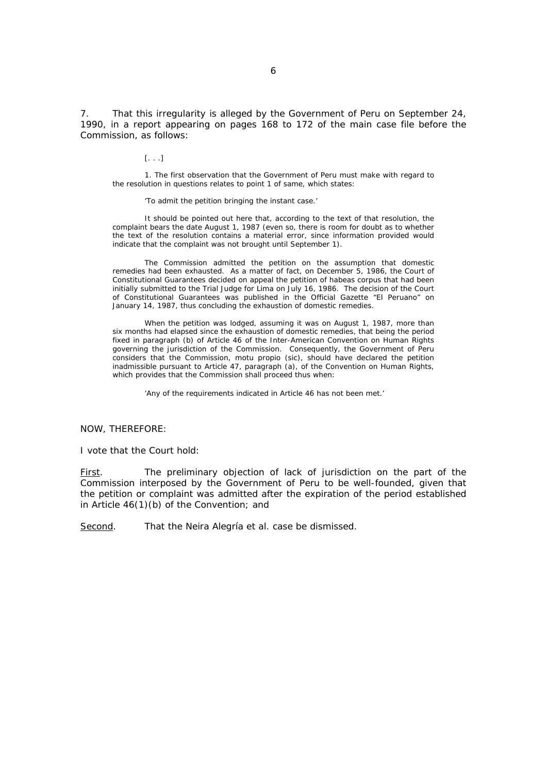7. That this irregularity is alleged by the Government of Peru on September 24, 1990, in a report appearing on pages 168 to 172 of the main case file before the Commission, as follows:

[. . .]

 1. The first observation that the Government of Peru must make with regard to the resolution in questions relates to point 1 of same, which states:

'To admit the petition bringing the instant case.'

 It should be pointed out here that, according to the text of that resolution, the complaint bears the date August 1, 1987 (even so, there is room for doubt as to whether the text of the resolution contains a material error, since information provided would indicate that the complaint was not brought until September 1).

 The Commission admitted the petition on the assumption that domestic remedies had been exhausted. As a matter of fact, on December 5, 1986, the Court of Constitutional Guarantees decided on appeal the petition of habeas corpus that had been initially submitted to the Trial Judge for Lima on July 16, 1986. The decision of the Court of Constitutional Guarantees was published in the Official Gazette "El Peruano" on January 14, 1987, thus concluding the exhaustion of domestic remedies.

 When the petition was lodged, assuming it was on August 1, 1987, more than six months had elapsed since the exhaustion of domestic remedies, that being the period fixed in paragraph (b) of Article 46 of the Inter-American Convention on Human Rights governing the jurisdiction of the Commission. Consequently, the Government of Peru considers that the Commission, motu propio (*sic*), should have declared the petition inadmissible pursuant to Article 47, paragraph (a), of the Convention on Human Rights, which provides that the Commission shall proceed thus when:

'Any of the requirements indicated in Article 46 has not been met.'

NOW, THEREFORE:

I vote that the Court hold:

First. The preliminary objection of lack of jurisdiction on the part of the Commission interposed by the Government of Peru to be well-founded, given that the petition or complaint was admitted after the expiration of the period established in Article 46(1)(b) of the Convention; and

Second. That the Neira Alegría *et al*. case be dismissed.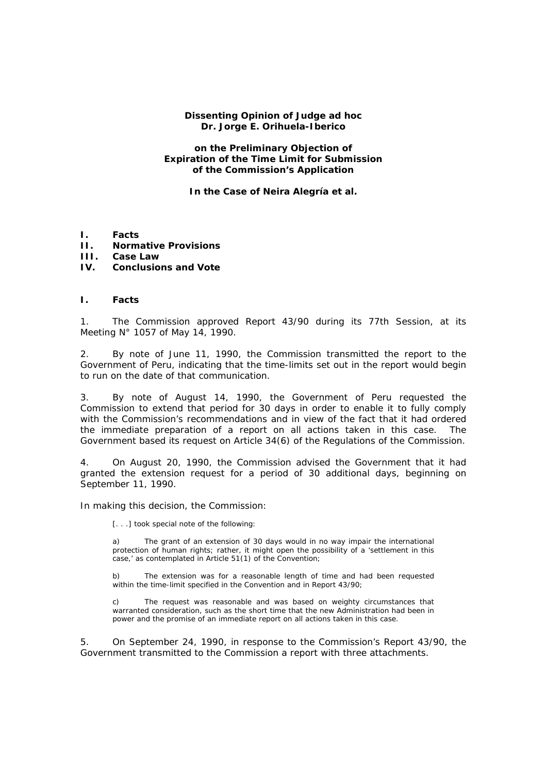## **Dissenting Opinion of Judge** *ad hoc* **Dr. Jorge E. Orihuela-Iberico**

## **on the Preliminary Objection of Expiration of the Time Limit for Submission of the Commission's Application**

**In the Case of Neira Alegría** *et al***.** 

- **I. Facts**
- **II. Normative Provisions**
- **III. Case Law**

## **IV. Conclusions and Vote**

## **I. Facts**

1. The Commission approved Report 43/90 during its 77th Session, at its Meeting N° 1057 of May 14, 1990.

2. By note of June 11, 1990, the Commission transmitted the report to the Government of Peru, indicating that the time-limits set out in the report would begin to run on the date of that communication.

3. By note of August 14, 1990, the Government of Peru requested the Commission to extend that period for 30 days in order to enable it to fully comply with the Commission's recommendations and in view of the fact that it had ordered the immediate preparation of a report on all actions taken in this case. The Government based its request on Article 34(6) of the Regulations of the Commission.

4. On August 20, 1990, the Commission advised the Government that it had granted the extension request for a period of 30 additional days, beginning on September 11, 1990.

In making this decision, the Commission:

[. . .] took special note of the following:

The grant of an extension of 30 days would in no way impair the international protection of human rights; rather, it might open the possibility of a 'settlement in this case,' as contemplated in Article 51(1) of the Convention;

b) The extension was for a reasonable length of time and had been requested within the time-limit specified in the Convention and in Report 43/90;

c) The request was reasonable and was based on weighty circumstances that warranted consideration, such as the short time that the new Administration had been in power and the promise of an immediate report on all actions taken in this case.

5. On September 24, 1990, in response to the Commission's Report 43/90, the Government transmitted to the Commission a report with three attachments.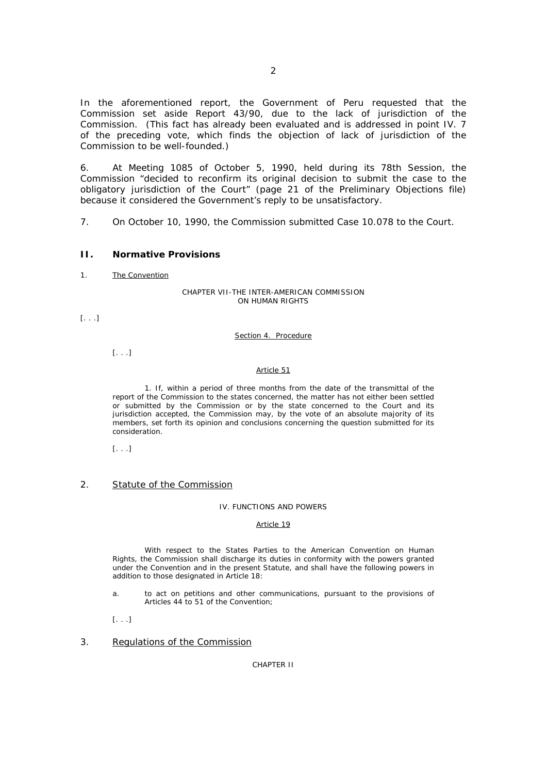In the aforementioned report, the Government of Peru requested that the Commission set aside Report 43/90, due to the lack of jurisdiction of the Commission. (This fact has already been evaluated and is addressed in point IV. 7 of the preceding vote, which finds the objection of lack of jurisdiction of the Commission to be well-founded.)

6. At Meeting 1085 of October 5, 1990, held during its 78th Session, the Commission *"decided to reconfirm its original decision to submit the case to the obligatory jurisdiction of the Court"* (page 21 of the Preliminary Objections file) because it considered the Government's reply to be unsatisfactory.

7. On October 10, 1990, the Commission submitted Case 10.078 to the Court.

## **II. Normative Provisions**

1. The Convention

#### CHAPTER VII-THE INTER-AMERICAN COMMISSION ON HUMAN RIGHTS

[. . .]

### Section 4. Procedure

[. . .]

### Article 51

 1. If, within a period of three months from the date of the transmittal of the report of the Commission to the states concerned, the matter has not either been settled or submitted by the Commission or by the state concerned to the Court and its jurisdiction accepted, the Commission may, by the vote of an absolute majority of its members, set forth its opinion and conclusions concerning the question submitted for its consideration.

[. . .]

### 2. Statute of the Commission

### IV. FUNCTIONS AND POWERS

#### Article 19

 With respect to the States Parties to the American Convention on Human Rights, the Commission shall discharge its duties in conformity with the powers granted under the Convention and in the present Statute, and shall have the following powers in addition to those designated in Article 18:

- a. to act on petitions and other communications, pursuant to the provisions of Articles 44 to 51 of the Convention;
- [. . .]

## 3. Regulations of the Commission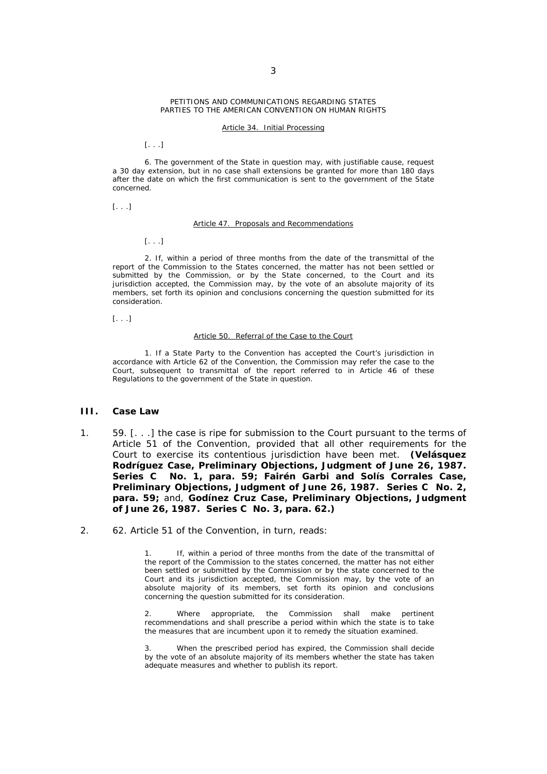#### PETITIONS AND COMMUNICATIONS REGARDING STATES PARTIES TO THE AMERICAN CONVENTION ON HUMAN RIGHTS

#### Article 34. Initial Processing

[. . .]

 6. The government of the State in question may, with justifiable cause, request a 30 day extension, but in no case shall extensions be granted for more than 180 days after the date on which the first communication is sent to the government of the State concerned.

[. . .]

#### Article 47. Proposals and Recommendations

[. . .]

 2. If, within a period of three months from the date of the transmittal of the report of the Commission to the States concerned, the matter has not been settled or submitted by the Commission, or by the State concerned, to the Court and its jurisdiction accepted, the Commission may, by the vote of an absolute majority of its members, set forth its opinion and conclusions concerning the question submitted for its consideration.

[. . .]

#### Article 50. Referral of the Case to the Court

 1. If a State Party to the Convention has accepted the Court's jurisdiction in accordance with Article 62 of the Convention, the Commission may refer the case to the Court, subsequent to transmittal of the report referred to in Article 46 of these Regulations to the government of the State in question.

## **III. Case Law**

- 1. 59. [. . .] the case is ripe for submission to the Court pursuant to the terms of Article 51 of the Convention, provided that all other requirements for the Court to exercise its contentious jurisdiction have been met. **(***Velásquez Rodríguez Case, Preliminary Objections***, Judgment of June 26, 1987. Series C No. 1, para. 59;** *Fairén Garbi and Solís Corrales Case, Preliminary Objections***, Judgment of June 26, 1987. Series C No. 2, para. 59;** and, *Godínez Cruz Case, Preliminary Objections***, Judgment of June 26, 1987. Series C No. 3, para. 62.)**
- 2. 62. Article 51 of the Convention, in turn, reads:

If, within a period of three months from the date of the transmittal of the report of the Commission to the states concerned, the matter has not either been settled or submitted by the Commission or by the state concerned to the Court and its jurisdiction accepted, the Commission may, by the vote of an absolute majority of its members, set forth its opinion and conclusions concerning the question submitted for its consideration.

Where appropriate, the Commission shall make pertinent recommendations and shall prescribe a period within which the state is to take the measures that are incumbent upon it to remedy the situation examined.

When the prescribed period has expired, the Commission shall decide by the vote of an absolute majority of its members whether the state has taken adequate measures and whether to publish its report.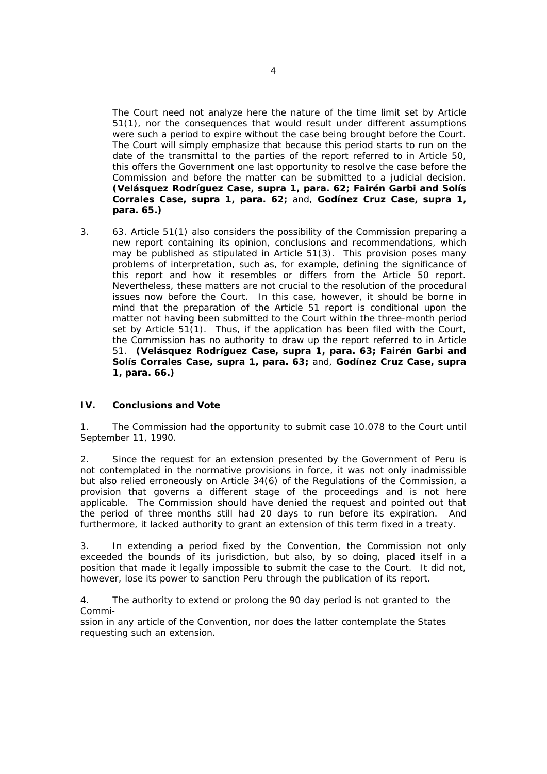The Court need not analyze here the nature of the time limit set by Article 51(1), nor the consequences that would result under different assumptions were such a period to expire without the case being brought before the Court. The Court will simply emphasize that because this period starts to run on the date of the transmittal to the parties of the report referred to in Article 50, this offers the Government one last opportunity to resolve the case before the Commission and before the matter can be submitted to a judicial decision. **(***Velásquez Rodríguez Case, supra* **1, para. 62;** *Fairén Garbi and Solís Corrales Case, supra* **1, para. 62;** and, *Godínez Cruz Case, supra* **1, para. 65.)**

3. 63. Article 51(1) also considers the possibility of the Commission preparing a new report containing its opinion, conclusions and recommendations, which may be published as stipulated in Article 51(3). This provision poses many problems of interpretation, such as, for example, defining the significance of this report and how it resembles or differs from the Article 50 report. Nevertheless, these matters are not crucial to the resolution of the procedural issues now before the Court. In this case, however, it should be borne in mind that the preparation of the Article 51 report is conditional upon the matter not having been submitted to the Court within the three-month period set by Article  $51(1)$ . Thus, if the application has been filed with the Court, the Commission has no authority to draw up the report referred to in Article 51. **(***Velásquez Rodríguez Case, supra* **1, para. 63;** *Fairén Garbi and Solís Corrales Case, supra* **1, para. 63;** and, *Godínez Cruz Case, supra* **1, para. 66.)**

# **IV. Conclusions and Vote**

1. The Commission had the opportunity to submit case 10.078 to the Court until September 11, 1990.

2. Since the request for an extension presented by the Government of Peru is not contemplated in the normative provisions in force, it was not only inadmissible but also relied erroneously on Article 34(6) of the Regulations of the Commission, a provision that governs a different stage of the proceedings and is not here applicable. The Commission should have denied the request and pointed out that the period of three months still had 20 days to run before its expiration. And furthermore, it lacked authority to grant an extension of this term fixed in a treaty.

3. In extending a period fixed by the Convention, the Commission not only exceeded the bounds of its jurisdiction, but also, by so doing, placed itself in a position that made it legally impossible to submit the case to the Court. It did not, however, lose its power to sanction Peru through the publication of its report.

4. The authority to extend or prolong the 90 day period is not granted to the Commi-

ssion in any article of the Convention, nor does the latter contemplate the States requesting such an extension.